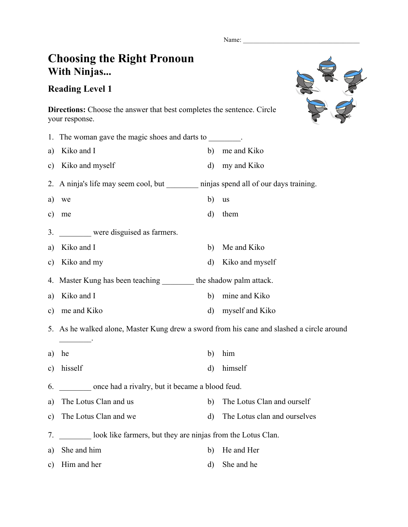Name:

## **Choosing the Right Pronoun With Ninjas...**

**Directions:** Choose the answer that best completes the sentence. Circle

## **Reading Level 1**

your response.

RE E

|               | 1. The woman gave the magic shoes and darts to ________.                                  |              |                              |  |  |
|---------------|-------------------------------------------------------------------------------------------|--------------|------------------------------|--|--|
| a)            | Kiko and I                                                                                | b)           | me and Kiko                  |  |  |
| $\mathbf{c})$ | Kiko and myself                                                                           | $\rm d)$     | my and Kiko                  |  |  |
|               | 2. A ninja's life may seem cool, but ninjas spend all of our days training.               |              |                              |  |  |
| a)            | we                                                                                        | b)           | <b>us</b>                    |  |  |
| c)            | me                                                                                        | d)           | them                         |  |  |
| 3.            | were disguised as farmers.                                                                |              |                              |  |  |
| a)            | Kiko and I                                                                                | b)           | Me and Kiko                  |  |  |
| C)            | Kiko and my                                                                               | $\rm d)$     | Kiko and myself              |  |  |
| 4.            | Master Kung has been teaching _________ the shadow palm attack.                           |              |                              |  |  |
| a)            | Kiko and I                                                                                | b)           | mine and Kiko                |  |  |
| $\mathbf{c})$ | me and Kiko                                                                               | d)           | myself and Kiko              |  |  |
|               | 5. As he walked alone, Master Kung drew a sword from his cane and slashed a circle around |              |                              |  |  |
| a)            | he                                                                                        | b)           | him                          |  |  |
| $\mathbf{c})$ | hisself                                                                                   | d)           | himself                      |  |  |
| 6.            | once had a rivalry, but it became a blood feud.                                           |              |                              |  |  |
| a)            | The Lotus Clan and us                                                                     | b)           | The Lotus Clan and ourself   |  |  |
| c)            | The Lotus Clan and we                                                                     | $\mathbf{d}$ | The Lotus clan and ourselves |  |  |
| 7.            | look like farmers, but they are ninjas from the Lotus Clan.                               |              |                              |  |  |
| a)            | She and him                                                                               | b)           | He and Her                   |  |  |
| c)            | Him and her                                                                               | $\rm d$      | She and he                   |  |  |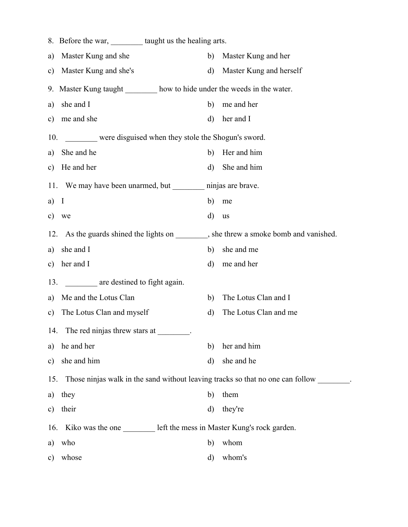|               | 8. Before the war, __________ taught us the healing arts.                         |              |                         |  |  |  |
|---------------|-----------------------------------------------------------------------------------|--------------|-------------------------|--|--|--|
| a)            | Master Kung and she                                                               | b)           | Master Kung and her     |  |  |  |
| $\mathbf{c})$ | Master Kung and she's                                                             | $\mathbf{d}$ | Master Kung and herself |  |  |  |
|               | 9. Master Kung taught how to hide under the weeds in the water.                   |              |                         |  |  |  |
| a)            | she and I                                                                         | b)           | me and her              |  |  |  |
| c)            | me and she                                                                        | $\rm d$      | her and I               |  |  |  |
| 10.           | were disguised when they stole the Shogun's sword.                                |              |                         |  |  |  |
| a)            | She and he                                                                        | b)           | Her and him             |  |  |  |
|               | c) He and her                                                                     | d)           | She and him             |  |  |  |
|               | 11. We may have been unarmed, but __________ ninjas are brave.                    |              |                         |  |  |  |
| a)            | $\bf{I}$                                                                          | b)           | me                      |  |  |  |
| c)            | we                                                                                | d)           | us                      |  |  |  |
| 12.           | As the guards shined the lights on ________, she threw a smoke bomb and vanished. |              |                         |  |  |  |
| a)            | she and I                                                                         | b)           | she and me              |  |  |  |
| $\mathbf{c})$ | her and I                                                                         | d)           | me and her              |  |  |  |
|               | are destined to fight again.<br>13.                                               |              |                         |  |  |  |
| a)            | Me and the Lotus Clan                                                             | b)           | The Lotus Clan and I    |  |  |  |
| $\mathbf{c})$ | The Lotus Clan and myself                                                         | d)           | The Lotus Clan and me   |  |  |  |
| 14.           | The red ninjas threw stars at                                                     |              |                         |  |  |  |
| a)            | he and her                                                                        | b)           | her and him             |  |  |  |
| $\mathbf{c})$ | she and him                                                                       | $\mathbf{d}$ | she and he              |  |  |  |
| 15.           | Those ninjas walk in the sand without leaving tracks so that no one can follow    |              |                         |  |  |  |
| a)            | they                                                                              | b)           | them                    |  |  |  |
| $\mathbf{c})$ | their                                                                             | $\mathbf{d}$ | they're                 |  |  |  |
| 16.           | Kiko was the one ____________ left the mess in Master Kung's rock garden.         |              |                         |  |  |  |
| a)            | who                                                                               | b)           | whom                    |  |  |  |
| $\mathbf{c})$ | whose                                                                             | d)           | whom's                  |  |  |  |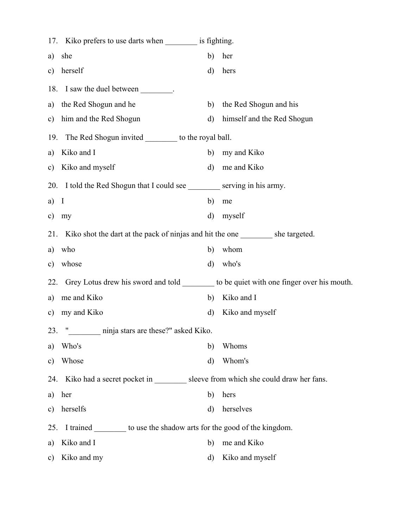|               | 17. Kiko prefers to use darts when is fighting.                                      |              |                                                                                           |  |  |
|---------------|--------------------------------------------------------------------------------------|--------------|-------------------------------------------------------------------------------------------|--|--|
| a)            | she                                                                                  | b)           | her                                                                                       |  |  |
| c)            | herself                                                                              | d)           | hers                                                                                      |  |  |
|               | 18. I saw the duel between ________.                                                 |              |                                                                                           |  |  |
| a)            | the Red Shogun and he                                                                | b)           | the Red Shogun and his                                                                    |  |  |
| C)            | him and the Red Shogun                                                               | $\rm d)$     | himself and the Red Shogun                                                                |  |  |
| 19.           | The Red Shogun invited __________ to the royal ball.                                 |              |                                                                                           |  |  |
| a)            | Kiko and I                                                                           | b)           | my and Kiko                                                                               |  |  |
| c)            | Kiko and myself                                                                      | d)           | me and Kiko                                                                               |  |  |
|               | 20. I told the Red Shogun that I could see ___________ serving in his army.          |              |                                                                                           |  |  |
| a)            | $\mathbf{I}$                                                                         | b)           | me                                                                                        |  |  |
| $\mathbf{c})$ | my                                                                                   | $\mathbf{d}$ | myself                                                                                    |  |  |
|               | 21. Kiko shot the dart at the pack of ninjas and hit the one _________ she targeted. |              |                                                                                           |  |  |
| a)            | who                                                                                  | b)           | whom                                                                                      |  |  |
| c)            | whose                                                                                | d)           | who's                                                                                     |  |  |
| 22.           |                                                                                      |              | Grey Lotus drew his sword and told __________ to be quiet with one finger over his mouth. |  |  |
| a)            | me and Kiko                                                                          | b)           | Kiko and I                                                                                |  |  |
| $\mathbf{c})$ | my and Kiko                                                                          | d)           | Kiko and myself                                                                           |  |  |
| 23.           | 11<br>ninja stars are these?" asked Kiko.                                            |              |                                                                                           |  |  |
| a)            | Who's                                                                                | b)           | Whoms                                                                                     |  |  |
| $\mathbf{c})$ | Whose                                                                                | d)           | Whom's                                                                                    |  |  |
| 24.           | Kiko had a secret pocket in ___________ sleeve from which she could draw her fans.   |              |                                                                                           |  |  |
| a)            | her                                                                                  | b)           | hers                                                                                      |  |  |
| $\mathbf{c})$ | herselfs                                                                             | d)           | herselves                                                                                 |  |  |
| 25.           | I trained to use the shadow arts for the good of the kingdom.                        |              |                                                                                           |  |  |
| a)            | Kiko and I                                                                           | b)           | me and Kiko                                                                               |  |  |
| C)            | Kiko and my                                                                          | d)           | Kiko and myself                                                                           |  |  |